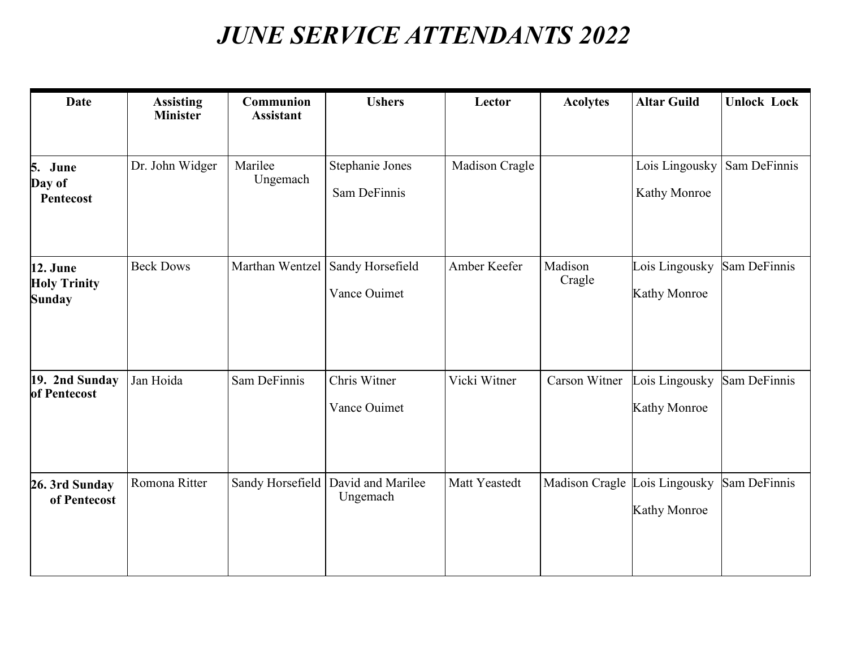## *JUNE SERVICE ATTENDANTS 2022*

| <b>Date</b>                                      | <b>Assisting</b><br><b>Minister</b> | Communion<br><b>Assistant</b> | <b>Ushers</b>                                    | Lector         | <b>Acolytes</b>               | <b>Altar Guild</b>                    | <b>Unlock Lock</b> |
|--------------------------------------------------|-------------------------------------|-------------------------------|--------------------------------------------------|----------------|-------------------------------|---------------------------------------|--------------------|
| 5. June<br>Day of<br>Pentecost                   | Dr. John Widger                     | Marilee<br>Ungemach           | Stephanie Jones<br>Sam DeFinnis                  | Madison Cragle |                               | Lois Lingousky<br>Kathy Monroe        | Sam DeFinnis       |
| 12. June<br><b>Holy Trinity</b><br><b>Sunday</b> | <b>Beck Dows</b>                    |                               | Marthan Wentzel Sandy Horsefield<br>Vance Ouimet | Amber Keefer   | Madison<br>Cragle             | Lois Lingousky<br><b>Kathy Monroe</b> | Sam DeFinnis       |
| 19. 2nd Sunday<br>of Pentecost                   | Jan Hoida                           | Sam DeFinnis                  | Chris Witner<br>Vance Ouimet                     | Vicki Witner   | Carson Witner                 | Lois Lingousky<br><b>Kathy Monroe</b> | Sam DeFinnis       |
| 26. 3rd Sunday<br>of Pentecost                   | Romona Ritter                       |                               | Sandy Horsefield   David and Marilee<br>Ungemach | Matt Yeastedt  | Madison Cragle Lois Lingousky | Kathy Monroe                          | Sam DeFinnis       |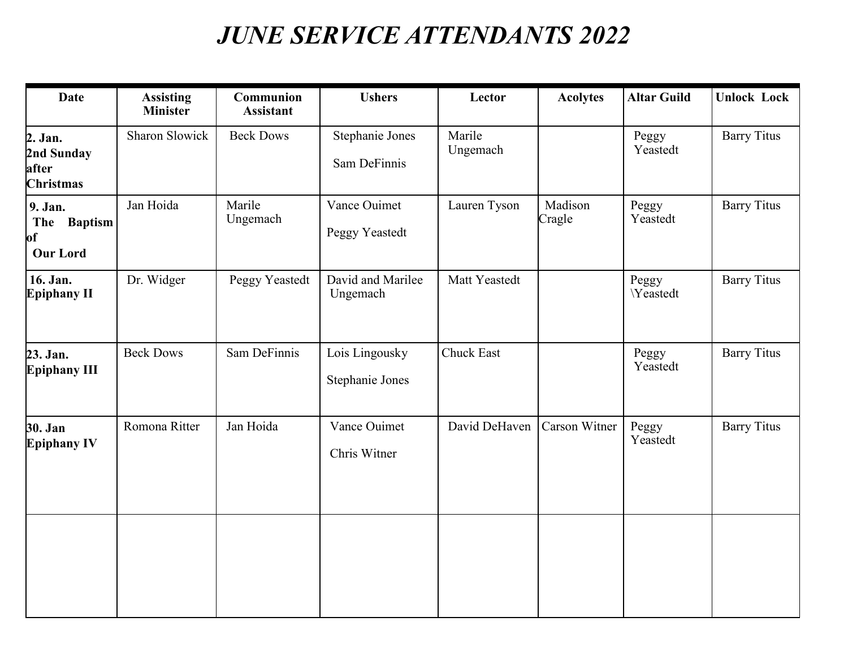## *JUNE SERVICE ATTENDANTS 2022*

| <b>Date</b>                                               | <b>Assisting</b><br><b>Minister</b> | Communion<br><b>Assistant</b> | <b>Ushers</b>                     | Lector             | <b>Acolytes</b>   | <b>Altar Guild</b> | <b>Unlock Lock</b> |
|-----------------------------------------------------------|-------------------------------------|-------------------------------|-----------------------------------|--------------------|-------------------|--------------------|--------------------|
| 2. Jan.<br>2nd Sunday<br>after<br><b>Christmas</b>        | Sharon Slowick                      | <b>Beck Dows</b>              | Stephanie Jones<br>Sam DeFinnis   | Marile<br>Ungemach |                   | Peggy<br>Yeastedt  | <b>Barry Titus</b> |
| 9. Jan.<br><b>Baptism</b><br>The<br>of<br><b>Our Lord</b> | Jan Hoida                           | Marile<br>Ungemach            | Vance Ouimet<br>Peggy Yeastedt    | Lauren Tyson       | Madison<br>Cragle | Peggy<br>Yeastedt  | <b>Barry Titus</b> |
| 16. Jan.<br><b>Epiphany II</b>                            | Dr. Widger                          | Peggy Yeastedt                | David and Marilee<br>Ungemach     | Matt Yeastedt      |                   | Peggy<br>Yeastedt  | <b>Barry Titus</b> |
| 23. Jan.<br><b>Epiphany III</b>                           | <b>Beck Dows</b>                    | Sam DeFinnis                  | Lois Lingousky<br>Stephanie Jones | <b>Chuck East</b>  |                   | Peggy<br>Yeastedt  | <b>Barry Titus</b> |
| 30. Jan<br><b>Epiphany IV</b>                             | Romona Ritter                       | Jan Hoida                     | Vance Ouimet<br>Chris Witner      | David DeHaven      | Carson Witner     | Peggy<br>Yeastedt  | <b>Barry Titus</b> |
|                                                           |                                     |                               |                                   |                    |                   |                    |                    |